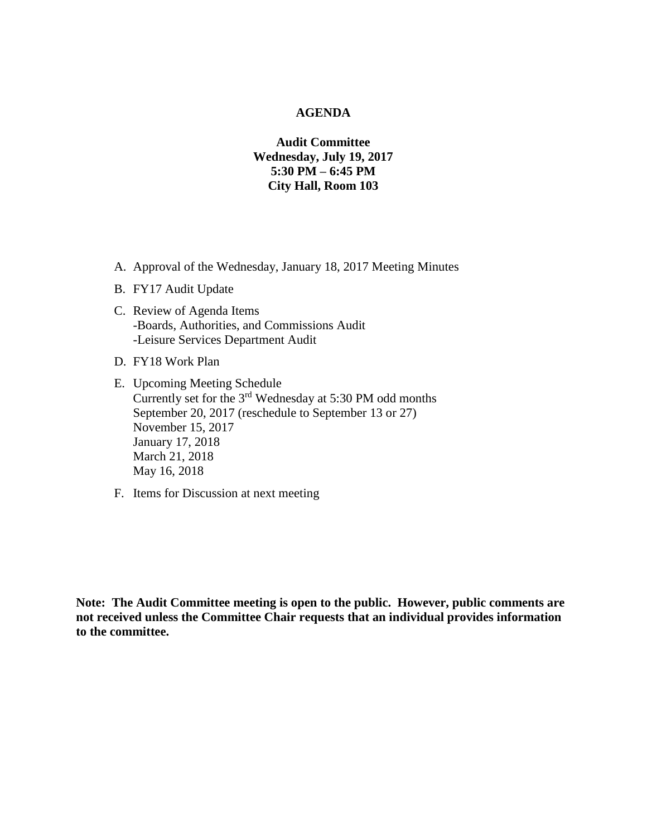# **AGENDA**

# **Audit Committee Wednesday, July 19, 2017 5:30 PM – 6:45 PM City Hall, Room 103**

- A. Approval of the Wednesday, January 18, 2017 Meeting Minutes
- B. FY17 Audit Update
- C. Review of Agenda Items -Boards, Authorities, and Commissions Audit -Leisure Services Department Audit
- D. FY18 Work Plan
- E. Upcoming Meeting Schedule Currently set for the 3rd Wednesday at 5:30 PM odd months September 20, 2017 (reschedule to September 13 or 27) November 15, 2017 January 17, 2018 March 21, 2018 May 16, 2018
- F. Items for Discussion at next meeting

**Note: The Audit Committee meeting is open to the public. However, public comments are not received unless the Committee Chair requests that an individual provides information to the committee.**